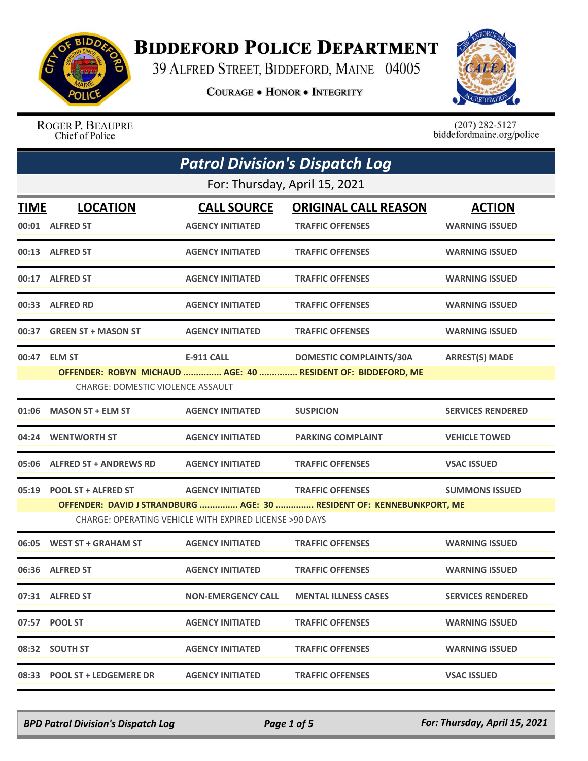

## **BIDDEFORD POLICE DEPARTMENT**

39 ALFRED STREET, BIDDEFORD, MAINE 04005

**COURAGE . HONOR . INTEGRITY** 



ROGER P. BEAUPRE Chief of Police

 $(207)$  282-5127<br>biddefordmaine.org/police

| <b>Patrol Division's Dispatch Log</b> |                                          |                                                         |                                                                       |                          |
|---------------------------------------|------------------------------------------|---------------------------------------------------------|-----------------------------------------------------------------------|--------------------------|
|                                       |                                          | For: Thursday, April 15, 2021                           |                                                                       |                          |
| TIME                                  | <b>LOCATION</b>                          | <b>CALL SOURCE</b>                                      | <b>ORIGINAL CALL REASON</b>                                           | <b>ACTION</b>            |
|                                       | 00:01 ALFRED ST                          | <b>AGENCY INITIATED</b>                                 | <b>TRAFFIC OFFENSES</b>                                               | <b>WARNING ISSUED</b>    |
|                                       | 00:13 ALFRED ST                          | <b>AGENCY INITIATED</b>                                 | <b>TRAFFIC OFFENSES</b>                                               | <b>WARNING ISSUED</b>    |
|                                       | 00:17 ALFRED ST                          | <b>AGENCY INITIATED</b>                                 | <b>TRAFFIC OFFENSES</b>                                               | <b>WARNING ISSUED</b>    |
|                                       | 00:33 ALFRED RD                          | <b>AGENCY INITIATED</b>                                 | <b>TRAFFIC OFFENSES</b>                                               | <b>WARNING ISSUED</b>    |
|                                       | 00:37 GREEN ST + MASON ST                | <b>AGENCY INITIATED</b>                                 | <b>TRAFFIC OFFENSES</b>                                               | <b>WARNING ISSUED</b>    |
|                                       | 00:47 ELM ST                             | <b>E-911 CALL</b>                                       | <b>DOMESTIC COMPLAINTS/30A</b>                                        | <b>ARREST(S) MADE</b>    |
|                                       |                                          |                                                         | OFFENDER: ROBYN MICHAUD  AGE: 40  RESIDENT OF: BIDDEFORD, ME          |                          |
|                                       | <b>CHARGE: DOMESTIC VIOLENCE ASSAULT</b> |                                                         |                                                                       |                          |
| 01:06                                 | <b>MASON ST + ELM ST</b>                 | <b>AGENCY INITIATED</b>                                 | <b>SUSPICION</b>                                                      | <b>SERVICES RENDERED</b> |
|                                       | 04:24 WENTWORTH ST                       | <b>AGENCY INITIATED</b>                                 | <b>PARKING COMPLAINT</b>                                              | <b>VEHICLE TOWED</b>     |
|                                       | 05:06 ALFRED ST + ANDREWS RD             | <b>AGENCY INITIATED</b>                                 | <b>TRAFFIC OFFENSES</b>                                               | <b>VSAC ISSUED</b>       |
|                                       | 05:19 POOL ST + ALFRED ST                | <b>AGENCY INITIATED</b>                                 | <b>TRAFFIC OFFENSES</b>                                               | <b>SUMMONS ISSUED</b>    |
|                                       |                                          |                                                         | OFFENDER: DAVID J STRANDBURG  AGE: 30  RESIDENT OF: KENNEBUNKPORT, ME |                          |
|                                       |                                          | CHARGE: OPERATING VEHICLE WITH EXPIRED LICENSE >90 DAYS |                                                                       |                          |
| 06:05                                 | <b>WEST ST + GRAHAM ST</b>               | <b>AGENCY INITIATED</b>                                 | <b>TRAFFIC OFFENSES</b>                                               | <b>WARNING ISSUED</b>    |
|                                       | 06:36 ALFRED ST                          | <b>AGENCY INITIATED</b>                                 | <b>TRAFFIC OFFENSES</b>                                               | <b>WARNING ISSUED</b>    |
|                                       | 07:31 ALFRED ST                          | <b>NON-EMERGENCY CALL</b>                               | <b>MENTAL ILLNESS CASES</b>                                           | <b>SERVICES RENDERED</b> |
|                                       | 07:57 POOL ST                            | <b>AGENCY INITIATED</b>                                 | <b>TRAFFIC OFFENSES</b>                                               | <b>WARNING ISSUED</b>    |
|                                       | 08:32 SOUTH ST                           | <b>AGENCY INITIATED</b>                                 | <b>TRAFFIC OFFENSES</b>                                               | <b>WARNING ISSUED</b>    |
|                                       | 08:33 POOL ST + LEDGEMERE DR             | <b>AGENCY INITIATED</b>                                 | <b>TRAFFIC OFFENSES</b>                                               | <b>VSAC ISSUED</b>       |

*BPD Patrol Division's Dispatch Log Page 1 of 5 For: Thursday, April 15, 2021*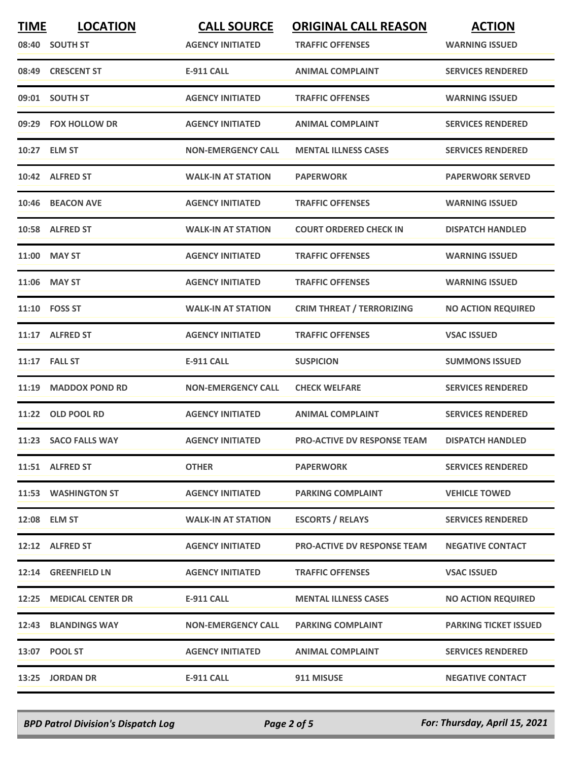| <b>TIME</b> | <b>LOCATION</b>         | <b>CALL SOURCE</b>        | <b>ORIGINAL CALL REASON</b>        | <b>ACTION</b>                |
|-------------|-------------------------|---------------------------|------------------------------------|------------------------------|
|             | 08:40 SOUTH ST          | <b>AGENCY INITIATED</b>   | <b>TRAFFIC OFFENSES</b>            | <b>WARNING ISSUED</b>        |
|             | 08:49 CRESCENT ST       | <b>E-911 CALL</b>         | <b>ANIMAL COMPLAINT</b>            | <b>SERVICES RENDERED</b>     |
|             | 09:01 SOUTH ST          | <b>AGENCY INITIATED</b>   | <b>TRAFFIC OFFENSES</b>            | <b>WARNING ISSUED</b>        |
|             | 09:29 FOX HOLLOW DR     | <b>AGENCY INITIATED</b>   | <b>ANIMAL COMPLAINT</b>            | <b>SERVICES RENDERED</b>     |
|             | 10:27 ELM ST            | <b>NON-EMERGENCY CALL</b> | <b>MENTAL ILLNESS CASES</b>        | <b>SERVICES RENDERED</b>     |
|             | 10:42 ALFRED ST         | <b>WALK-IN AT STATION</b> | <b>PAPERWORK</b>                   | <b>PAPERWORK SERVED</b>      |
| 10:46       | <b>BEACON AVE</b>       | <b>AGENCY INITIATED</b>   | <b>TRAFFIC OFFENSES</b>            | <b>WARNING ISSUED</b>        |
|             | 10:58 ALFRED ST         | <b>WALK-IN AT STATION</b> | <b>COURT ORDERED CHECK IN</b>      | <b>DISPATCH HANDLED</b>      |
|             | 11:00 MAY ST            | <b>AGENCY INITIATED</b>   | <b>TRAFFIC OFFENSES</b>            | <b>WARNING ISSUED</b>        |
| 11:06       | <b>MAY ST</b>           | <b>AGENCY INITIATED</b>   | <b>TRAFFIC OFFENSES</b>            | <b>WARNING ISSUED</b>        |
|             | 11:10 FOSS ST           | <b>WALK-IN AT STATION</b> | <b>CRIM THREAT / TERRORIZING</b>   | <b>NO ACTION REQUIRED</b>    |
|             | 11:17 ALFRED ST         | <b>AGENCY INITIATED</b>   | <b>TRAFFIC OFFENSES</b>            | <b>VSAC ISSUED</b>           |
|             | 11:17 FALL ST           | <b>E-911 CALL</b>         | <b>SUSPICION</b>                   | <b>SUMMONS ISSUED</b>        |
| 11:19       | <b>MADDOX POND RD</b>   | <b>NON-EMERGENCY CALL</b> | <b>CHECK WELFARE</b>               | <b>SERVICES RENDERED</b>     |
|             | 11:22 OLD POOL RD       | <b>AGENCY INITIATED</b>   | <b>ANIMAL COMPLAINT</b>            | <b>SERVICES RENDERED</b>     |
|             | 11:23 SACO FALLS WAY    | <b>AGENCY INITIATED</b>   | <b>PRO-ACTIVE DV RESPONSE TEAM</b> | <b>DISPATCH HANDLED</b>      |
|             | 11:51 ALFRED ST         | <b>OTHER</b>              | <b>PAPERWORK</b>                   | <b>SERVICES RENDERED</b>     |
|             | 11:53 WASHINGTON ST     | <b>AGENCY INITIATED</b>   | <b>PARKING COMPLAINT</b>           | <b>VEHICLE TOWED</b>         |
|             | 12:08 ELM ST            | <b>WALK-IN AT STATION</b> | <b>ESCORTS / RELAYS</b>            | <b>SERVICES RENDERED</b>     |
|             | 12:12 ALFRED ST         | <b>AGENCY INITIATED</b>   | <b>PRO-ACTIVE DV RESPONSE TEAM</b> | <b>NEGATIVE CONTACT</b>      |
|             | 12:14 GREENFIELD LN     | <b>AGENCY INITIATED</b>   | <b>TRAFFIC OFFENSES</b>            | <b>VSAC ISSUED</b>           |
|             | 12:25 MEDICAL CENTER DR | E-911 CALL                | <b>MENTAL ILLNESS CASES</b>        | <b>NO ACTION REQUIRED</b>    |
|             | 12:43 BLANDINGS WAY     | <b>NON-EMERGENCY CALL</b> | <b>PARKING COMPLAINT</b>           | <b>PARKING TICKET ISSUED</b> |
|             | 13:07 POOL ST           | <b>AGENCY INITIATED</b>   | <b>ANIMAL COMPLAINT</b>            | <b>SERVICES RENDERED</b>     |
|             | 13:25 JORDAN DR         | E-911 CALL                | 911 MISUSE                         | <b>NEGATIVE CONTACT</b>      |

*BPD Patrol Division's Dispatch Log Page 2 of 5 For: Thursday, April 15, 2021*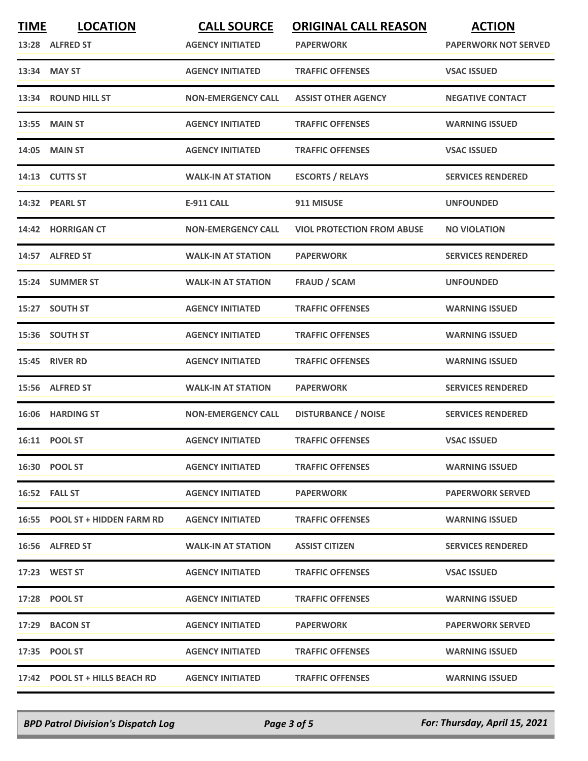| <b>TIME</b> | <b>LOCATION</b><br>13:28 ALFRED ST | <b>CALL SOURCE</b><br><b>AGENCY INITIATED</b> | <b>ORIGINAL CALL REASON</b><br><b>PAPERWORK</b> | <b>ACTION</b><br><b>PAPERWORK NOT SERVED</b> |
|-------------|------------------------------------|-----------------------------------------------|-------------------------------------------------|----------------------------------------------|
|             | 13:34 MAY ST                       | <b>AGENCY INITIATED</b>                       | <b>TRAFFIC OFFENSES</b>                         | <b>VSAC ISSUED</b>                           |
|             | 13:34 ROUND HILL ST                | <b>NON-EMERGENCY CALL</b>                     | <b>ASSIST OTHER AGENCY</b>                      | <b>NEGATIVE CONTACT</b>                      |
| 13:55       | <b>MAIN ST</b>                     | <b>AGENCY INITIATED</b>                       | <b>TRAFFIC OFFENSES</b>                         | <b>WARNING ISSUED</b>                        |
|             | 14:05 MAIN ST                      | <b>AGENCY INITIATED</b>                       | <b>TRAFFIC OFFENSES</b>                         | <b>VSAC ISSUED</b>                           |
|             | 14:13 CUTTS ST                     | <b>WALK-IN AT STATION</b>                     | <b>ESCORTS / RELAYS</b>                         | <b>SERVICES RENDERED</b>                     |
|             | 14:32 PEARL ST                     | <b>E-911 CALL</b>                             | 911 MISUSE                                      | <b>UNFOUNDED</b>                             |
|             | 14:42 HORRIGAN CT                  | <b>NON-EMERGENCY CALL</b>                     | <b>VIOL PROTECTION FROM ABUSE</b>               | <b>NO VIOLATION</b>                          |
|             | 14:57 ALFRED ST                    | <b>WALK-IN AT STATION</b>                     | <b>PAPERWORK</b>                                | <b>SERVICES RENDERED</b>                     |
|             | 15:24 SUMMER ST                    | <b>WALK-IN AT STATION</b>                     | <b>FRAUD / SCAM</b>                             | <b>UNFOUNDED</b>                             |
|             | 15:27 SOUTH ST                     | <b>AGENCY INITIATED</b>                       | <b>TRAFFIC OFFENSES</b>                         | <b>WARNING ISSUED</b>                        |
|             | 15:36 SOUTH ST                     | <b>AGENCY INITIATED</b>                       | <b>TRAFFIC OFFENSES</b>                         | <b>WARNING ISSUED</b>                        |
|             | <b>15:45 RIVER RD</b>              | <b>AGENCY INITIATED</b>                       | <b>TRAFFIC OFFENSES</b>                         | <b>WARNING ISSUED</b>                        |
| 15:56       | <b>ALFRED ST</b>                   | <b>WALK-IN AT STATION</b>                     | <b>PAPERWORK</b>                                | <b>SERVICES RENDERED</b>                     |
|             | 16:06 HARDING ST                   | <b>NON-EMERGENCY CALL</b>                     | <b>DISTURBANCE / NOISE</b>                      | <b>SERVICES RENDERED</b>                     |
|             | 16:11 POOL ST                      | <b>AGENCY INITIATED</b>                       | <b>TRAFFIC OFFENSES</b>                         | <b>VSAC ISSUED</b>                           |
|             | 16:30 POOL ST                      | <b>AGENCY INITIATED</b>                       | <b>TRAFFIC OFFENSES</b>                         | <b>WARNING ISSUED</b>                        |
|             | 16:52 FALL ST                      | <b>AGENCY INITIATED</b>                       | <b>PAPERWORK</b>                                | <b>PAPERWORK SERVED</b>                      |
|             | 16:55 POOL ST + HIDDEN FARM RD     | <b>AGENCY INITIATED</b>                       | <b>TRAFFIC OFFENSES</b>                         | <b>WARNING ISSUED</b>                        |
|             | 16:56 ALFRED ST                    | <b>WALK-IN AT STATION</b>                     | <b>ASSIST CITIZEN</b>                           | <b>SERVICES RENDERED</b>                     |
|             | 17:23 WEST ST                      | <b>AGENCY INITIATED</b>                       | <b>TRAFFIC OFFENSES</b>                         | <b>VSAC ISSUED</b>                           |
|             | 17:28 POOL ST                      | <b>AGENCY INITIATED</b>                       | <b>TRAFFIC OFFENSES</b>                         | <b>WARNING ISSUED</b>                        |
|             | 17:29 BACON ST                     | <b>AGENCY INITIATED</b>                       | <b>PAPERWORK</b>                                | <b>PAPERWORK SERVED</b>                      |
|             | 17:35 POOL ST                      | <b>AGENCY INITIATED</b>                       | <b>TRAFFIC OFFENSES</b>                         | <b>WARNING ISSUED</b>                        |
|             | 17:42 POOL ST + HILLS BEACH RD     | <b>AGENCY INITIATED</b>                       | <b>TRAFFIC OFFENSES</b>                         | <b>WARNING ISSUED</b>                        |

*BPD Patrol Division's Dispatch Log Page 3 of 5 For: Thursday, April 15, 2021*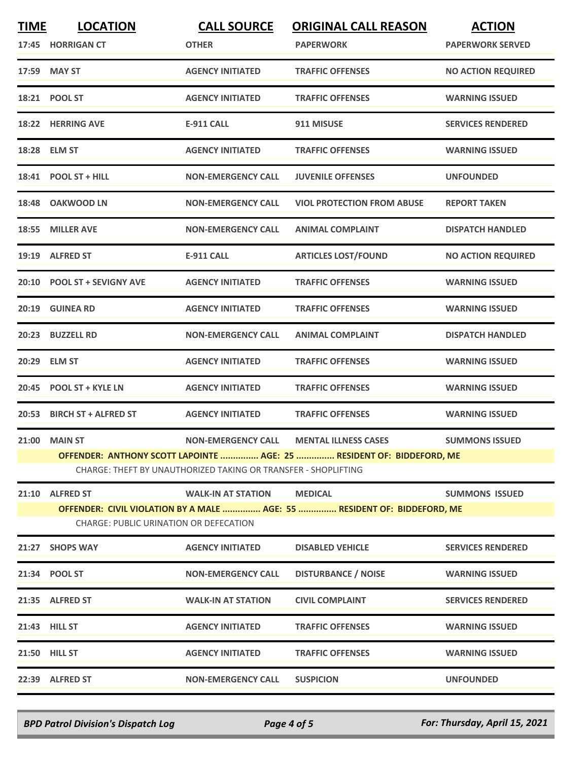| <b>TIME</b> | <b>LOCATION</b><br>17:45 HORRIGAN CT                                                                                      | <b>CALL SOURCE</b><br><b>OTHER</b>                             | <b>ORIGINAL CALL REASON</b><br><b>PAPERWORK</b>                       | <b>ACTION</b><br><b>PAPERWORK SERVED</b> |  |
|-------------|---------------------------------------------------------------------------------------------------------------------------|----------------------------------------------------------------|-----------------------------------------------------------------------|------------------------------------------|--|
|             | 17:59 MAY ST                                                                                                              | <b>AGENCY INITIATED</b>                                        | <b>TRAFFIC OFFENSES</b>                                               | <b>NO ACTION REQUIRED</b>                |  |
|             | 18:21 POOL ST                                                                                                             | <b>AGENCY INITIATED</b>                                        | <b>TRAFFIC OFFENSES</b>                                               | <b>WARNING ISSUED</b>                    |  |
|             | 18:22 HERRING AVE                                                                                                         | <b>E-911 CALL</b>                                              | 911 MISUSE                                                            | <b>SERVICES RENDERED</b>                 |  |
|             | 18:28 ELM ST                                                                                                              | <b>AGENCY INITIATED</b>                                        | <b>TRAFFIC OFFENSES</b>                                               | <b>WARNING ISSUED</b>                    |  |
|             | 18:41 POOL ST + HILL                                                                                                      | <b>NON-EMERGENCY CALL</b>                                      | <b>JUVENILE OFFENSES</b>                                              | <b>UNFOUNDED</b>                         |  |
| 18:48       | <b>OAKWOOD LN</b>                                                                                                         | <b>NON-EMERGENCY CALL</b>                                      | <b>VIOL PROTECTION FROM ABUSE</b>                                     | <b>REPORT TAKEN</b>                      |  |
| 18:55       | <b>MILLER AVE</b>                                                                                                         | <b>NON-EMERGENCY CALL</b>                                      | <b>ANIMAL COMPLAINT</b>                                               | <b>DISPATCH HANDLED</b>                  |  |
|             | 19:19 ALFRED ST                                                                                                           | <b>E-911 CALL</b>                                              | <b>ARTICLES LOST/FOUND</b>                                            | <b>NO ACTION REQUIRED</b>                |  |
| 20:10       | <b>POOL ST + SEVIGNY AVE</b>                                                                                              | <b>AGENCY INITIATED</b>                                        | <b>TRAFFIC OFFENSES</b>                                               | <b>WARNING ISSUED</b>                    |  |
| 20:19       | <b>GUINEA RD</b>                                                                                                          | <b>AGENCY INITIATED</b>                                        | <b>TRAFFIC OFFENSES</b>                                               | <b>WARNING ISSUED</b>                    |  |
|             | 20:23 BUZZELL RD                                                                                                          | <b>NON-EMERGENCY CALL</b>                                      | <b>ANIMAL COMPLAINT</b>                                               | <b>DISPATCH HANDLED</b>                  |  |
| 20:29       | <b>ELM ST</b>                                                                                                             | <b>AGENCY INITIATED</b>                                        | <b>TRAFFIC OFFENSES</b>                                               | <b>WARNING ISSUED</b>                    |  |
| 20:45       | <b>POOL ST + KYLE LN</b>                                                                                                  | <b>AGENCY INITIATED</b>                                        | <b>TRAFFIC OFFENSES</b>                                               | <b>WARNING ISSUED</b>                    |  |
|             | 20:53 BIRCH ST + ALFRED ST                                                                                                | <b>AGENCY INITIATED</b>                                        | <b>TRAFFIC OFFENSES</b>                                               | <b>WARNING ISSUED</b>                    |  |
| 21:00       | <b>MAIN ST</b>                                                                                                            | <b>NON-EMERGENCY CALL</b>                                      | <b>MENTAL ILLNESS CASES</b>                                           | <b>SUMMONS ISSUED</b>                    |  |
|             |                                                                                                                           | CHARGE: THEFT BY UNAUTHORIZED TAKING OR TRANSFER - SHOPLIFTING | OFFENDER: ANTHONY SCOTT LAPOINTE  AGE: 25  RESIDENT OF: BIDDEFORD, ME |                                          |  |
|             |                                                                                                                           |                                                                |                                                                       |                                          |  |
|             | 21:10 ALFRED ST                                                                                                           | <b>WALK-IN AT STATION</b>                                      | <b>MEDICAL</b>                                                        | <b>SUMMONS ISSUED</b>                    |  |
|             | OFFENDER: CIVIL VIOLATION BY A MALE  AGE: 55  RESIDENT OF: BIDDEFORD, ME<br><b>CHARGE: PUBLIC URINATION OR DEFECATION</b> |                                                                |                                                                       |                                          |  |
|             | 21:27 SHOPS WAY                                                                                                           | <b>AGENCY INITIATED</b>                                        | <b>DISABLED VEHICLE</b>                                               | <b>SERVICES RENDERED</b>                 |  |
|             | 21:34 POOL ST                                                                                                             | <b>NON-EMERGENCY CALL</b>                                      | <b>DISTURBANCE / NOISE</b>                                            | <b>WARNING ISSUED</b>                    |  |
|             | 21:35 ALFRED ST                                                                                                           | <b>WALK-IN AT STATION</b>                                      | <b>CIVIL COMPLAINT</b>                                                | <b>SERVICES RENDERED</b>                 |  |
|             | 21:43 HILL ST                                                                                                             | <b>AGENCY INITIATED</b>                                        | <b>TRAFFIC OFFENSES</b>                                               | <b>WARNING ISSUED</b>                    |  |
|             | 21:50 HILL ST                                                                                                             | <b>AGENCY INITIATED</b>                                        | <b>TRAFFIC OFFENSES</b>                                               | <b>WARNING ISSUED</b>                    |  |
|             | 22:39 ALFRED ST                                                                                                           | <b>NON-EMERGENCY CALL</b>                                      | <b>SUSPICION</b>                                                      | <b>UNFOUNDED</b>                         |  |
|             |                                                                                                                           |                                                                |                                                                       |                                          |  |

*BPD Patrol Division's Dispatch Log Page 4 of 5 For: Thursday, April 15, 2021*